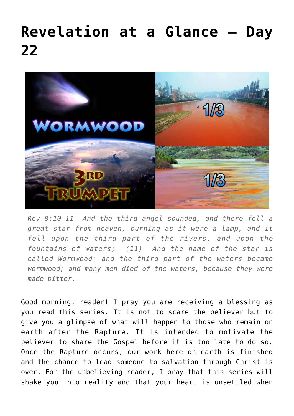## **[Revelation at a Glance – Day](https://maranatha.earnestlycontending.com/2022/06/08/revelation-at-a-glance-day-21-2/) [22](https://maranatha.earnestlycontending.com/2022/06/08/revelation-at-a-glance-day-21-2/)**



*Rev 8:10-11 And the third angel sounded, and there fell a great star from heaven, burning as it were a lamp, and it fell upon the third part of the rivers, and upon the fountains of waters; (11) And the name of the star is called Wormwood: and the third part of the waters became wormwood; and many men died of the waters, because they were made bitter.*

Good morning, reader! I pray you are receiving a blessing as you read this series. It is not to scare the believer but to give you a glimpse of what will happen to those who remain on earth after the Rapture. It is intended to motivate the believer to share the Gospel before it is too late to do so. Once the Rapture occurs, our work here on earth is finished and the chance to lead someone to salvation through Christ is over. For the unbelieving reader, I pray that this series will shake you into reality and that your heart is unsettled when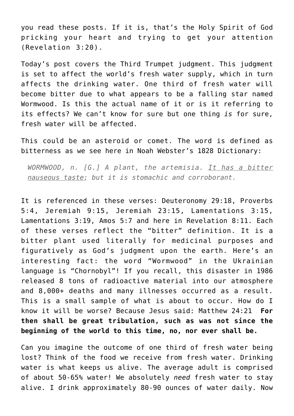you read these posts. If it is, that's the Holy Spirit of God pricking your heart and trying to get your attention (Revelation 3:20).

Today's post covers the Third Trumpet judgment. This judgment is set to affect the world's fresh water supply, which in turn affects the drinking water. One third of fresh water will become bitter due to what appears to be a falling star named Wormwood. Is this the actual name of it or is it referring to its effects? We can't know for sure but one thing *is* for sure, fresh water will be affected.

This could be an asteroid or comet. The word is defined as bitterness as we see here in Noah Webster's 1828 Dictionary:

*WORMWOOD, n. [G.] A plant, the artemisia. It has a bitter nauseous taste; but it is stomachic and corroborant.*

It is referenced in these verses: Deuteronomy 29:18, Proverbs 5:4, Jeremiah 9:15, Jeremiah 23:15, Lamentations 3:15, Lamentations 3:19, Amos 5:7 and here in Revelation 8:11. Each of these verses reflect the "bitter" definition. It is a bitter plant used literally for medicinal purposes and figuratively as God's judgment upon the earth. Here's an interesting fact: the word "Wormwood" in the Ukrainian language is "Chornobyl"! If you recall, this disaster in 1986 released 8 tons of radioactive material into our atmosphere and 8,000+ deaths and many illnesses occurred as a result. This is a small sample of what is about to occur. How do I know it will be worse? Because Jesus said: Matthew 24:21 **For then shall be great tribulation, such as was not since the beginning of the world to this time, no, nor ever shall be.**

Can you imagine the outcome of one third of fresh water being lost? Think of the food we receive from fresh water. Drinking water is what keeps us alive. The average adult is comprised of about 50-65% water! We absolutely *need* fresh water to stay alive. I drink approximately 80-90 ounces of water daily. Now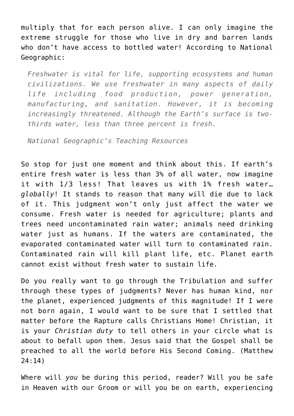multiply that for each person alive. I can only imagine the extreme struggle for those who live in dry and barren lands who don't have access to bottled water! According to National Geographic:

*Freshwater is vital for life, supporting ecosystems and human civilizations. We use freshwater in many aspects of daily life including food production, power generation, manufacturing, and sanitation. However, it is becoming increasingly threatened. Although the Earth's surface is twothirds water, less than three percent is fresh.*

*National Geographic's Teaching Resources*

So stop for just one moment and think about this. If earth's entire fresh water is less than 3% of all water, now imagine it with 1/3 less! That leaves us with 1% fresh water… *globally*! It stands to reason that many will die due to lack of it. This judgment won't only just affect the water we consume. Fresh water is needed for agriculture; plants and trees need uncontaminated rain water; animals need drinking water just as humans. If the waters are contaminated, the evaporated contaminated water will turn to contaminated rain. Contaminated rain will kill plant life, etc. Planet earth cannot exist without fresh water to sustain life.

Do you really want to go through the Tribulation and suffer through these types of judgments? Never has human kind, nor the planet, experienced judgments of this magnitude! If I were not born again, I would want to be sure that I settled that matter before the Rapture calls Christians Home! Christian, it is your *Christian duty* to tell others in your circle what is about to befall upon them. Jesus said that the Gospel shall be preached to all the world before His Second Coming. (Matthew 24:14)

Where will *you* be during this period, reader? Will you be safe in Heaven with our Groom or will you be on earth, experiencing